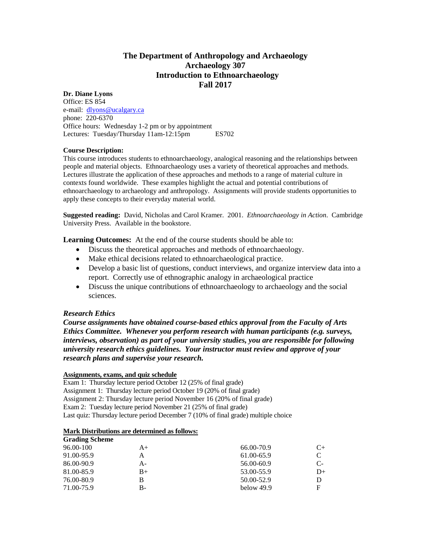## **The Department of Anthropology and Archaeology Archaeology 307 Introduction to Ethnoarchaeology Fall 2017**

### **Dr. Diane Lyons**

Office: ES 854 e-mail: [dlyons@ucalgary.ca](mailto:dlyons@ucalgary.ca) phone: 220-6370 Office hours: Wednesday 1-2 pm or by appointment Lectures: Tuesday/Thursday 11am-12:15pm ES702

#### **Course Description:**

This course introduces students to ethnoarchaeology, analogical reasoning and the relationships between people and material objects. Ethnoarchaeology uses a variety of theoretical approaches and methods. Lectures illustrate the application of these approaches and methods to a range of material culture in contexts found worldwide. These examples highlight the actual and potential contributions of ethnoarchaeology to archaeology and anthropology. Assignments will provide students opportunities to apply these concepts to their everyday material world.

**Suggested reading:** David, Nicholas and Carol Kramer. 2001. *Ethnoarchaeology in Action*. Cambridge University Press. Available in the bookstore.

**Learning Outcomes:** At the end of the course students should be able to:

- Discuss the theoretical approaches and methods of ethnoarchaeology.
- Make ethical decisions related to ethnoarchaeological practice.
- Develop a basic list of questions, conduct interviews, and organize interview data into a report. Correctly use of ethnographic analogy in archaeological practice
- Discuss the unique contributions of ethnoarchaeology to archaeology and the social sciences.

#### *Research Ethics*

*Course assignments have obtained course-based ethics approval from the Faculty of Arts Ethics Committee. Whenever you perform research with human participants (e.g. surveys, interviews, observation) as part of your university studies, you are responsible for following university research ethics guidelines. Your instructor must review and approve of your research plans and supervise your research.*

#### **Assignments, exams, and quiz schedule**

Exam 1: Thursday lecture period October 12 (25% of final grade) Assignment 1: Thursday lecture period October 19 (20% of final grade) Assignment 2: Thursday lecture period November 16 (20% of final grade) Exam 2: Tuesday lecture period November 21 (25% of final grade) Last quiz: Thursday lecture period December 7 (10% of final grade) multiple choice

#### **Mark Distributions are determined as follows:**

| <b>Grading Scheme</b> |      |            |    |
|-----------------------|------|------------|----|
| 96.00-100             | $A+$ | 66.00-70.9 | C+ |
| 91.00-95.9            | А    | 61.00-65.9 |    |
| 86.00-90.9            | А-   | 56.00-60.9 | C- |
| 81.00-85.9            | $B+$ | 53.00-55.9 | D+ |
| 76.00-80.9            | В    | 50.00-52.9 |    |
| 71.00-75.9            | B-   | below 49.9 |    |
|                       |      |            |    |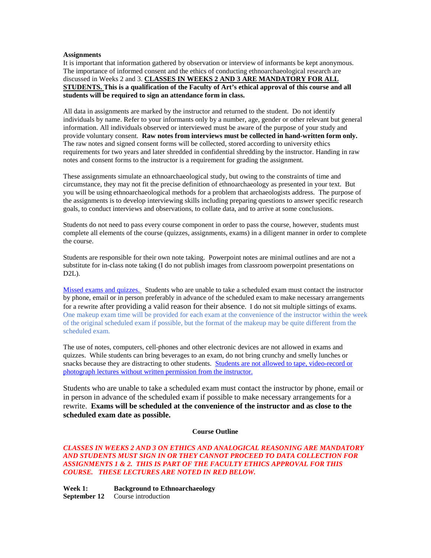#### **Assignments**

It is important that information gathered by observation or interview of informants be kept anonymous. The importance of informed consent and the ethics of conducting ethnoarchaeological research are discussed in Weeks 2 and 3. **CLASSES IN WEEKS 2 AND 3 ARE MANDATORY FOR ALL STUDENTS. This is a qualification of the Faculty of Art's ethical approval of this course and all students will be required to sign an attendance form in class.**

All data in assignments are marked by the instructor and returned to the student. Do not identify individuals by name. Refer to your informants only by a number, age, gender or other relevant but general information. All individuals observed or interviewed must be aware of the purpose of your study and provide voluntary consent. **Raw notes from interviews must be collected in hand-written form only.** The raw notes and signed consent forms will be collected, stored according to university ethics requirements for two years and later shredded in confidential shredding by the instructor. Handing in raw notes and consent forms to the instructor is a requirement for grading the assignment.

These assignments simulate an ethnoarchaeological study, but owing to the constraints of time and circumstance, they may not fit the precise definition of ethnoarchaeology as presented in your text. But you will be using ethnoarchaeological methods for a problem that archaeologists address. The purpose of the assignments is to develop interviewing skills including preparing questions to answer specific research goals, to conduct interviews and observations, to collate data, and to arrive at some conclusions.

Students do not need to pass every course component in order to pass the course, however, students must complete all elements of the course (quizzes, assignments, exams) in a diligent manner in order to complete the course.

Students are responsible for their own note taking. Powerpoint notes are minimal outlines and are not a substitute for in-class note taking (I do not publish images from classroom powerpoint presentations on D2L).

Missed exams and quizzes.Students who are unable to take a scheduled exam must contact the instructor by phone, email or in person preferably in advance of the scheduled exam to make necessary arrangements for a rewrite after providing a valid reason for their absence. I do not sit multiple sittings of exams. One makeup exam time will be provided for each exam at the convenience of the instructor within the week of the original scheduled exam if possible, but the format of the makeup may be quite different from the scheduled exam.

The use of notes, computers, cell-phones and other electronic devices are not allowed in exams and quizzes. While students can bring beverages to an exam, do not bring crunchy and smelly lunches or snacks because they are distracting to other students. Students are not allowed to tape, video-record or photograph lectures without written permission from the instructor.

Students who are unable to take a scheduled exam must contact the instructor by phone, email or in person in advance of the scheduled exam if possible to make necessary arrangements for a rewrite. **Exams will be scheduled at the convenience of the instructor and as close to the scheduled exam date as possible.** 

#### **Course Outline**

#### *CLASSES IN WEEKS 2 AND 3 ON ETHICS AND ANALOGICAL REASONING ARE MANDATORY AND STUDENTS MUST SIGN IN OR THEY CANNOT PROCEED TO DATA COLLECTION FOR ASSIGNMENTS 1 & 2. THIS IS PART OF THE FACULTY ETHICS APPROVAL FOR THIS COURSE. THESE LECTURES ARE NOTED IN RED BELOW.*

**Week 1: Background to Ethnoarchaeology September 12** Course introduction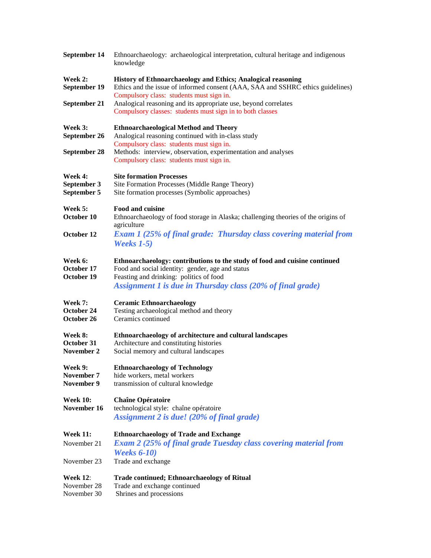| September 14                                  | Ethnoarchaeology: archaeological interpretation, cultural heritage and indigenous<br>knowledge                                                                                                                                          |  |  |
|-----------------------------------------------|-----------------------------------------------------------------------------------------------------------------------------------------------------------------------------------------------------------------------------------------|--|--|
| Week 2:<br>September 19                       | History of Ethnoarchaeology and Ethics; Analogical reasoning<br>Ethics and the issue of informed consent (AAA, SAA and SSHRC ethics guidelines)<br>Compulsory class: students must sign in.                                             |  |  |
| September 21                                  | Analogical reasoning and its appropriate use, beyond correlates<br>Compulsory classes: students must sign in to both classes                                                                                                            |  |  |
| Week 3:<br>September 26                       | <b>Ethnoarchaeological Method and Theory</b><br>Analogical reasoning continued with in-class study<br>Compulsory class: students must sign in.                                                                                          |  |  |
| September 28                                  | Methods: interview, observation, experimentation and analyses<br>Compulsory class: students must sign in.                                                                                                                               |  |  |
| Week 4:<br>September 3<br>September 5         | <b>Site formation Processes</b><br>Site Formation Processes (Middle Range Theory)<br>Site formation processes (Symbolic approaches)                                                                                                     |  |  |
| Week 5:<br>October 10                         | <b>Food and cuisine</b><br>Ethnoarchaeology of food storage in Alaska; challenging theories of the origins of<br>agriculture                                                                                                            |  |  |
| October 12                                    | <b>Exam 1 (25% of final grade: Thursday class covering material from</b><br><b>Weeks</b> 1-5)                                                                                                                                           |  |  |
| Week 6:<br>October 17<br>October 19           | Ethnoarchaeology: contributions to the study of food and cuisine continued<br>Food and social identity: gender, age and status<br>Feasting and drinking: politics of food<br>Assignment 1 is due in Thursday class (20% of final grade) |  |  |
| Week 7:<br>October 24<br>October 26           | <b>Ceramic Ethnoarchaeology</b><br>Testing archaeological method and theory<br>Ceramics continued                                                                                                                                       |  |  |
| Week 8:<br>October 31<br>November 2           | Ethnoarchaeology of architecture and cultural landscapes<br>Architecture and constituting histories<br>Social memory and cultural landscapes                                                                                            |  |  |
| Week 9:<br>November 7<br>November 9           | <b>Ethnoarchaeology of Technology</b><br>hide workers, metal workers<br>transmission of cultural knowledge                                                                                                                              |  |  |
| <b>Week 10:</b><br>November 16                | <b>Chaîne Opératoire</b><br>technological style: chaîne opératoire<br>Assignment 2 is due! (20% of final grade)                                                                                                                         |  |  |
| <b>Week 11:</b><br>November 21                | <b>Ethnoarchaeology of Trade and Exchange</b><br><b>Exam 2 (25% of final grade Tuesday class covering material from</b>                                                                                                                 |  |  |
| November 23                                   | <b>Weeks 6-10)</b><br>Trade and exchange                                                                                                                                                                                                |  |  |
| <b>Week 12:</b><br>November 28<br>November 30 | <b>Trade continued; Ethnoarchaeology of Ritual</b><br>Trade and exchange continued<br>Shrines and processions                                                                                                                           |  |  |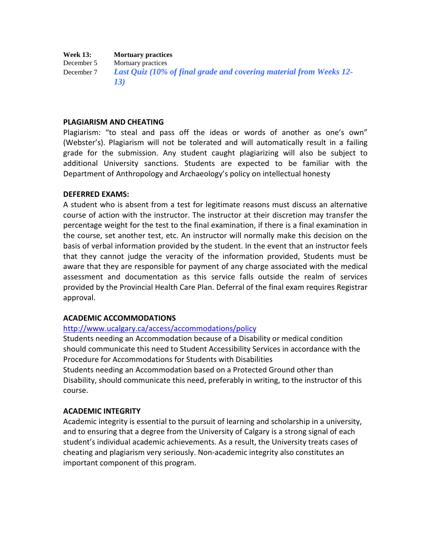# **Week 13: Mortuary practices**<br>December 5 **Mortuary practices**

Mortuary practices December 7 *Last Quiz (10% of final grade and covering material from Weeks 12- 13)*

#### **PLAGIARISM AND CHEATING**

Plagiarism: "to steal and pass off the ideas or words of another as one's own" (Webster's). Plagiarism will not be tolerated and will automatically result in a failing grade for the submission. Any student caught plagiarizing will also be subject to additional University sanctions. Students are expected to be familiar with the Department of Anthropology and Archaeology's policy on intellectual honesty

#### **DEFERRED EXAMS:**

A student who is absent from a test for legitimate reasons must discuss an alternative course of action with the instructor. The instructor at their discretion may transfer the percentage weight for the test to the final examination, if there is a final examination in the course, set another test, etc. An instructor will normally make this decision on the basis of verbal information provided by the student. In the event that an instructor feels that they cannot judge the veracity of the information provided, Students must be aware that they are responsible for payment of any charge associated with the medical assessment and documentation as this service falls outside the realm of services provided by the Provincial Health Care Plan. Deferral of the final exam requires Registrar approval.

#### **ACADEMIC ACCOMMODATIONS**

#### <http://www.ucalgary.ca/access/accommodations/policy>

Students needing an Accommodation because of a Disability or medical condition should communicate this need to Student Accessibility Services in accordance with the Procedure for Accommodations for Students with Disabilities

Students needing an Accommodation based on a Protected Ground other than Disability, should communicate this need, preferably in writing, to the instructor of this course.

#### **ACADEMIC INTEGRITY**

Academic integrity is essential to the pursuit of learning and scholarship in a university, and to ensuring that a degree from the University of Calgary is a strong signal of each student's individual academic achievements. As a result, the University treats cases of cheating and plagiarism very seriously. Non-academic integrity also constitutes an important component of this program.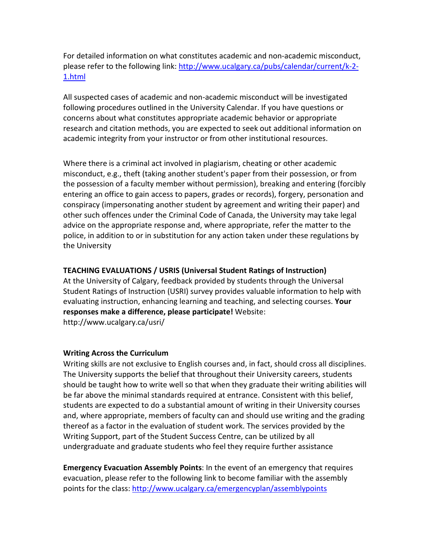For detailed information on what constitutes academic and non-academic misconduct, please refer to the following link: [http://www.ucalgary.ca/pubs/calendar/current/k-2-](http://www.ucalgary.ca/pubs/calendar/current/k-2-1.html) [1.html](http://www.ucalgary.ca/pubs/calendar/current/k-2-1.html)

All suspected cases of academic and non-academic misconduct will be investigated following procedures outlined in the University Calendar. If you have questions or concerns about what constitutes appropriate academic behavior or appropriate research and citation methods, you are expected to seek out additional information on academic integrity from your instructor or from other institutional resources.

Where there is a criminal act involved in plagiarism, cheating or other academic misconduct, e.g., theft (taking another student's paper from their possession, or from the possession of a faculty member without permission), breaking and entering (forcibly entering an office to gain access to papers, grades or records), forgery, personation and conspiracy (impersonating another student by agreement and writing their paper) and other such offences under the Criminal Code of Canada, the University may take legal advice on the appropriate response and, where appropriate, refer the matter to the police, in addition to or in substitution for any action taken under these regulations by the University

# **TEACHING EVALUATIONS / USRIS (Universal Student Ratings of Instruction)**

At the University of Calgary, feedback provided by students through the Universal Student Ratings of Instruction (USRI) survey provides valuable information to help with evaluating instruction, enhancing learning and teaching, and selecting courses. **Your responses make a difference, please participate!** Website: http://www.ucalgary.ca/usri/

## **Writing Across the Curriculum**

Writing skills are not exclusive to English courses and, in fact, should cross all disciplines. The University supports the belief that throughout their University careers, students should be taught how to write well so that when they graduate their writing abilities will be far above the minimal standards required at entrance. Consistent with this belief, students are expected to do a substantial amount of writing in their University courses and, where appropriate, members of faculty can and should use writing and the grading thereof as a factor in the evaluation of student work. The services provided by the Writing Support, part of the Student Success Centre, can be utilized by all undergraduate and graduate students who feel they require further assistance

**Emergency Evacuation Assembly Points**: In the event of an emergency that requires evacuation, please refer to the following link to become familiar with the assembly points for the class[: http://www.ucalgary.ca/emergencyplan/assemblypoints](http://www.ucalgary.ca/emergencyplan/assemblypoints)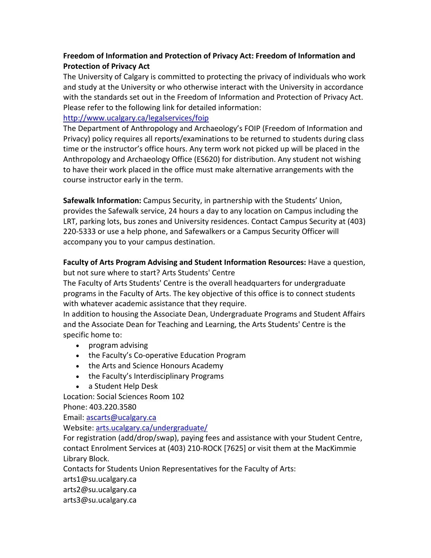# **Freedom of Information and Protection of Privacy Act: Freedom of Information and Protection of Privacy Act**

The University of Calgary is committed to protecting the privacy of individuals who work and study at the University or who otherwise interact with the University in accordance with the standards set out in the Freedom of Information and Protection of Privacy Act. Please refer to the following link for detailed information:

# <http://www.ucalgary.ca/legalservices/foip>

The Department of Anthropology and Archaeology's FOIP (Freedom of Information and Privacy) policy requires all reports/examinations to be returned to students during class time or the instructor's office hours. Any term work not picked up will be placed in the Anthropology and Archaeology Office (ES620) for distribution. Any student not wishing to have their work placed in the office must make alternative arrangements with the course instructor early in the term.

**Safewalk Information:** Campus Security, in partnership with the Students' Union, provides the Safewalk service, 24 hours a day to any location on Campus including the LRT, parking lots, bus zones and University residences. Contact Campus Security at (403) 220-5333 or use a help phone, and Safewalkers or a Campus Security Officer will accompany you to your campus destination.

**Faculty of Arts Program Advising and Student Information Resources:** Have a question, but not sure where to start? Arts Students' Centre

The Faculty of Arts Students' Centre is the overall headquarters for undergraduate programs in the Faculty of Arts. The key objective of this office is to connect students with whatever academic assistance that they require.

In addition to housing the Associate Dean, Undergraduate Programs and Student Affairs and the Associate Dean for Teaching and Learning, the Arts Students' Centre is the specific home to:

- program advising
- the Faculty's Co-operative Education Program
- the Arts and Science Honours Academy
- the Faculty's Interdisciplinary Programs
- a Student Help Desk

Location: Social Sciences Room 102 Phone: 403.220.3580

Email: [ascarts@ucalgary.ca](http://ucalgary.ca/pubs/calendar/current/ascarts@ucalgary.ca)

Website: [arts.ucalgary.ca/undergraduate/](http://arts.ucalgary.ca/undergraduate/)

For registration (add/drop/swap), paying fees and assistance with your Student Centre, contact Enrolment Services at (403) 210-ROCK [7625] or visit them at the MacKimmie Library Block.

Contacts for Students Union Representatives for the Faculty of Arts:

arts1@su.ucalgary.ca

arts2@su.ucalgary.ca

arts3@su.ucalgary.ca